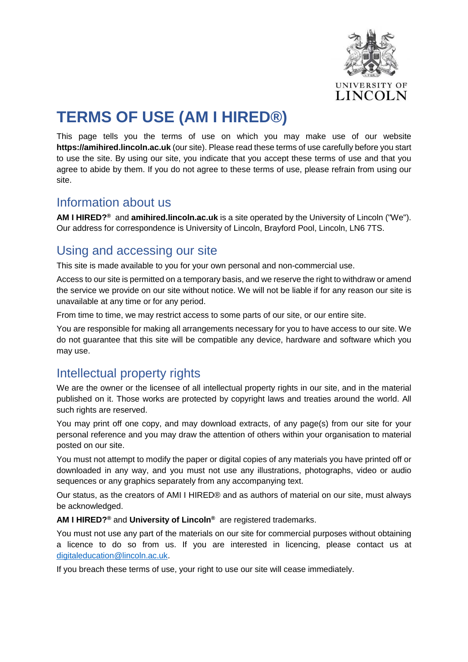

# **TERMS OF USE (AM I HIRED®)**

This page tells you the terms of use on which you may make use of our website **https://amihired.lincoln.ac.uk** (our site). Please read these terms of use carefully before you start to use the site. By using our site, you indicate that you accept these terms of use and that you agree to abide by them. If you do not agree to these terms of use, please refrain from using our site.

## Information about us

**AM I HIRED?®** and **amihired.lincoln.ac.uk** is a site operated by the University of Lincoln ("We"). Our address for correspondence is University of Lincoln, Brayford Pool, Lincoln, LN6 7TS.

## Using and accessing our site

This site is made available to you for your own personal and non-commercial use.

Access to our site is permitted on a temporary basis, and we reserve the right to withdraw or amend the service we provide on our site without notice. We will not be liable if for any reason our site is unavailable at any time or for any period.

From time to time, we may restrict access to some parts of our site, or our entire site.

You are responsible for making all arrangements necessary for you to have access to our site. We do not guarantee that this site will be compatible any device, hardware and software which you may use.

# Intellectual property rights

We are the owner or the licensee of all intellectual property rights in our site, and in the material published on it. Those works are protected by copyright laws and treaties around the world. All such rights are reserved.

You may print off one copy, and may download extracts, of any page(s) from our site for your personal reference and you may draw the attention of others within your organisation to material posted on our site.

You must not attempt to modify the paper or digital copies of any materials you have printed off or downloaded in any way, and you must not use any illustrations, photographs, video or audio sequences or any graphics separately from any accompanying text.

Our status, as the creators of AMI I HIRED® and as authors of material on our site, must always be acknowledged.

**AM I HIRED?®** and **University of Lincoln®** are registered trademarks.

You must not use any part of the materials on our site for commercial purposes without obtaining a licence to do so from us. If you are interested in licencing, please contact us at [digitaleducation@lincoln.ac.uk.](mailto:digitaleducation@lincoln.ac.uk)

If you breach these terms of use, your right to use our site will cease immediately.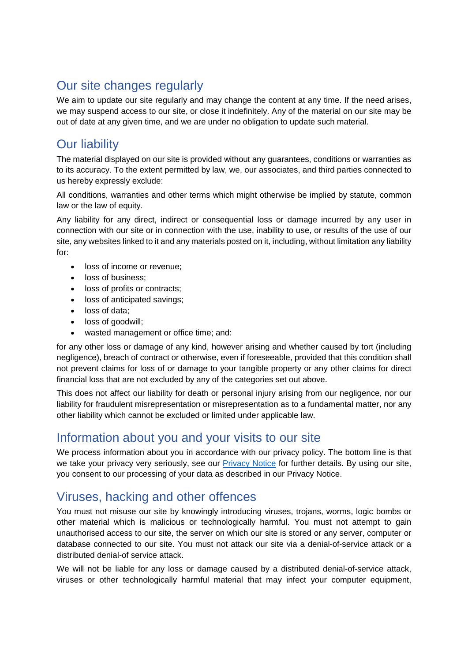# Our site changes regularly

We aim to update our site regularly and may change the content at any time. If the need arises, we may suspend access to our site, or close it indefinitely. Any of the material on our site may be out of date at any given time, and we are under no obligation to update such material.

## Our liability

The material displayed on our site is provided without any guarantees, conditions or warranties as to its accuracy. To the extent permitted by law, we, our associates, and third parties connected to us hereby expressly exclude:

All conditions, warranties and other terms which might otherwise be implied by statute, common law or the law of equity.

Any liability for any direct, indirect or consequential loss or damage incurred by any user in connection with our site or in connection with the use, inability to use, or results of the use of our site, any websites linked to it and any materials posted on it, including, without limitation any liability for:

- loss of income or revenue;
- loss of business;
- loss of profits or contracts;
- loss of anticipated savings;
- loss of data;
- loss of goodwill;
- wasted management or office time; and:

for any other loss or damage of any kind, however arising and whether caused by tort (including negligence), breach of contract or otherwise, even if foreseeable, provided that this condition shall not prevent claims for loss of or damage to your tangible property or any other claims for direct financial loss that are not excluded by any of the categories set out above.

This does not affect our liability for death or personal injury arising from our negligence, nor our liability for fraudulent misrepresentation or misrepresentation as to a fundamental matter, nor any other liability which cannot be excluded or limited under applicable law.

## Information about you and your visits to our site

We process information about you in accordance with our privacy policy. The bottom line is that we take your privacy very seriously, see our [Privacy Notice](https://amihired.lincoln.ac.uk/AM%20I%20HIRED%20Privacy%20Notice.pdf) for further details. By using our site, you consent to our processing of your data as described in our Privacy Notice.

## Viruses, hacking and other offences

You must not misuse our site by knowingly introducing viruses, trojans, worms, logic bombs or other material which is malicious or technologically harmful. You must not attempt to gain unauthorised access to our site, the server on which our site is stored or any server, computer or database connected to our site. You must not attack our site via a denial-of-service attack or a distributed denial-of service attack.

We will not be liable for any loss or damage caused by a distributed denial-of-service attack, viruses or other technologically harmful material that may infect your computer equipment,